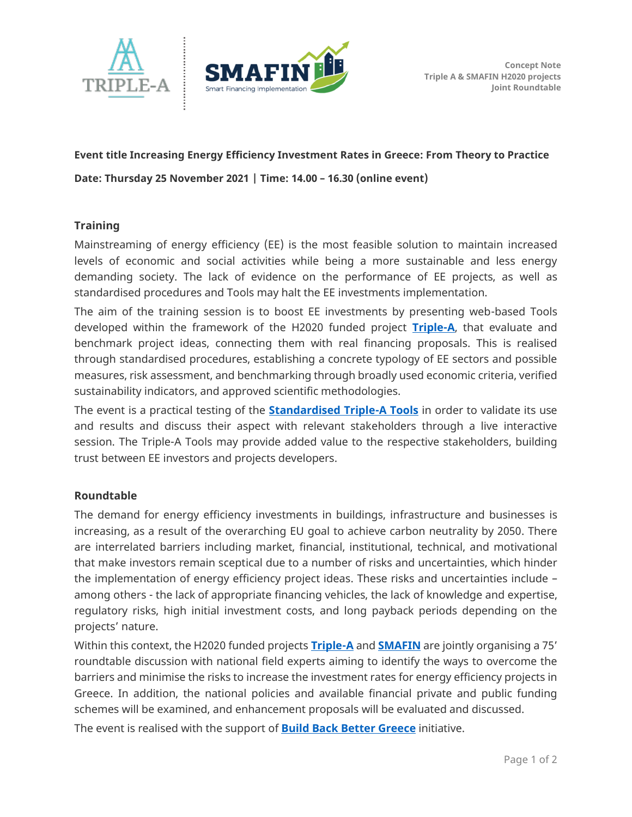



## **Event title Increasing Energy Efficiency Investment Rates in Greece: From Theory to Practice Date: Thursday 25 November 2021 | Time: 14.00 – 16.30 (online event)**

**Training** 

Mainstreaming of energy efficiency (EE) is the most feasible solution to maintain increased levels of economic and social activities while being a more sustainable and less energy demanding society. The lack of evidence on the performance of EE projects, as well as standardised procedures and Tools may halt the EE investments implementation.

The aim of the training session is to boost EE investments by presenting web-based Tools developed within the framework of the H2020 funded project **[Triple-A](https://aaa-h2020.eu/)**, that evaluate and benchmark project ideas, connecting them with real financing proposals. This is realised through standardised procedures, establishing a concrete typology of EE sectors and possible measures, risk assessment, and benchmarking through broadly used economic criteria, verified sustainability indicators, and approved scientific methodologies.

The event is a practical testing of the **[Standardised Triple-A Tools](https://aaa-h2020.eu/index.php/tools)** in order to validate its use and results and discuss their aspect with relevant stakeholders through a live interactive session. The Triple-A Tools may provide added value to the respective stakeholders, building trust between EE investors and projects developers.

## **Roundtable**

The demand for energy efficiency investments in buildings, infrastructure and businesses is increasing, as a result of the overarching EU goal to achieve carbon neutrality by 2050. There are interrelated barriers including market, financial, institutional, technical, and motivational that make investors remain sceptical due to a number of risks and uncertainties, which hinder the implementation of energy efficiency project ideas. These risks and uncertainties include – among others - the lack of appropriate financing vehicles, the lack of knowledge and expertise, regulatory risks, high initial investment costs, and long payback periods depending on the projects' nature.

Within this context, the H2020 funded projects **[Triple-A](https://aaa-h2020.eu/)** and **[SMAFIN](https://www.smafin.eu/)** are jointly organising a 75' roundtable discussion with national field experts aiming to identify the ways to overcome the barriers and minimise the risks to increase the investment rates for energy efficiency projects in Greece. In addition, the national policies and available financial private and public funding schemes will be examined, and enhancement proposals will be evaluated and discussed.

The event is realised with the support of **[Build Back Better Greece](https://www.buildbackbetter.gr/node/95)** initiative.